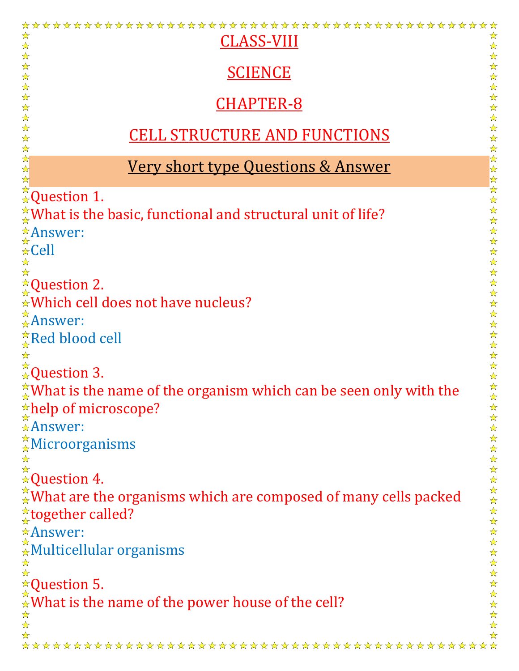| ☆<br>CLASS-VIII                                                                                                                                                                                               |
|---------------------------------------------------------------------------------------------------------------------------------------------------------------------------------------------------------------|
| $\frac{1}{\sqrt{2}}$<br>☆<br>$\frac{1}{\sqrt{2}}$<br>$\frac{1}{\mathbf{k}^{\prime}}$                                                                                                                          |
| $\frac{1}{\sqrt{2}}$<br>$\frac{1}{\mathbf{k}^{\prime}}$                                                                                                                                                       |
| <b>SCIENCE</b><br>$\frac{1}{\sqrt{2}}$<br>☆<br>$\frac{1}{\sqrt{2}}$<br>$\frac{1}{\mathbf{k}^{\prime}}$                                                                                                        |
| $\frac{1}{\mathbf{k}^{\prime}}$                                                                                                                                                                               |
| <b>CHAPTER-8</b><br>$\frac{\lambda}{\lambda}$                                                                                                                                                                 |
| $\frac{1}{\mathbf{k}}$<br>☆                                                                                                                                                                                   |
| <b>CELL STRUCTURE AND FUNCTIONS</b><br>☆                                                                                                                                                                      |
| ☆                                                                                                                                                                                                             |
| $\frac{1}{\mathbf{k}}$<br><u>Very short type Questions &amp; Answer</u><br>$\frac{1}{\mathbf{k}}$                                                                                                             |
| $\frac{1}{\mathbf{k}}$                                                                                                                                                                                        |
| $x \leftrightarrow x$<br>$\land x$<br>$\land x$<br>$\land x$<br>$\land x$<br>$\land x$<br>$\land x$<br>$\land x$<br>$\land x$<br>$\land x$<br>$\land x$<br>$\land x$<br>$\bigstar$<br>$\frac{1}{\mathcal{N}}$ |
| $\frac{1}{\mathcal{N}}$<br>$\frac{1}{4}$ What is the basic, functional and structural unit of life?                                                                                                           |
| $\frac{1}{\mathbf{k}^{\prime}}$<br>$\frac{1}{\mathbf{k}^{\prime}}$                                                                                                                                            |
| *Answer:<br>*Cell<br>$\frac{1}{\mathbf{k}^{\prime}}$                                                                                                                                                          |
| $\frac{1}{\mathbf{k}^{\prime}}$                                                                                                                                                                               |
| 25年<br>$\frac{1}{\mathbf{k}^{\prime}}$<br>$\frac{1}{\mathbf{k}^{\prime}}$                                                                                                                                     |
| $\star$ Question 2.<br>$\frac{1}{\mathbf{k}^{\prime}}$                                                                                                                                                        |
| $\frac{1}{\mathbf{k}^{\prime}}$<br>★ Which cell does not have nucleus?<br>$\frac{1}{\mathbf{k}^{\prime}}$                                                                                                     |
| $\frac{1}{\sqrt{2}}$                                                                                                                                                                                          |
| $\frac{\triangle}{\triangle}$ Answer:<br>☆                                                                                                                                                                    |
| $\frac{1}{\mathbf{k}^{\prime}}$<br>$\frac{1}{\alpha}$ Red blood cell<br>$\frac{1}{\sqrt{2}}$                                                                                                                  |
| ☆<br>☆                                                                                                                                                                                                        |
| $\frac{1}{\sqrt{2}}$<br>$\stackrel{\star}{\star}$ Question 3.<br>$\frac{1}{\sqrt{2}}$                                                                                                                         |
| $\frac{\lambda}{\lambda}$                                                                                                                                                                                     |
| $\frac{1}{4}$ What is the name of the organism which can be seen only with the<br>$\frac{1}{\sqrt{2}}$                                                                                                        |
| $\frac{1}{\alpha}$ help of microscope?<br>☆<br>☆                                                                                                                                                              |
| $\triangle$ Answer:<br>$\frac{1}{\mathcal{N}}$                                                                                                                                                                |
| ☆<br>$\frac{1}{2}$ Microorganisms<br>$\frac{\lambda}{\lambda}$                                                                                                                                                |
| ☆                                                                                                                                                                                                             |
| $\boldsymbol{\hat{\star}}$<br>$\boldsymbol{\hat{\star}}$ Question 4.<br>$\frac{1}{\mathbf{k}}$                                                                                                                |
| $\frac{1}{\mathbf{k}^{\prime}}$<br>$\frac{1}{\sqrt{2}}$                                                                                                                                                       |
| $\mathbb{R}^*$ What are the organisms which are composed of many cells packed<br>☆                                                                                                                            |
| $\frac{1}{\mathbf{k}^{\prime}}$<br><del>☆</del> together called?<br>$\frac{\lambda}{\lambda}$                                                                                                                 |
| $\frac{1}{\mathcal{N}}$                                                                                                                                                                                       |
| $\frac{1}{\mathbf{k}^2}$                                                                                                                                                                                      |
| ☆<br>$\frac{1}{\sqrt{2}}$                                                                                                                                                                                     |
| $\hat{R}$<br>Answer:<br>AMulticellular organisms<br>$\frac{1}{\sqrt{2}}$                                                                                                                                      |
| $\star$ Question 5.<br>$\frac{\lambda}{\lambda}$<br>$\frac{\lambda}{\lambda}$                                                                                                                                 |
| $\frac{1}{2}$ What is the name of the power house of the cell?<br>$\frac{1}{\sqrt{2}}$                                                                                                                        |
| $\frac{\lambda}{\lambda}$                                                                                                                                                                                     |
| $\frac{1}{\sqrt{2}}$<br>$\frac{1}{2}$<br>$\frac{1}{\sqrt{2}}$                                                                                                                                                 |
|                                                                                                                                                                                                               |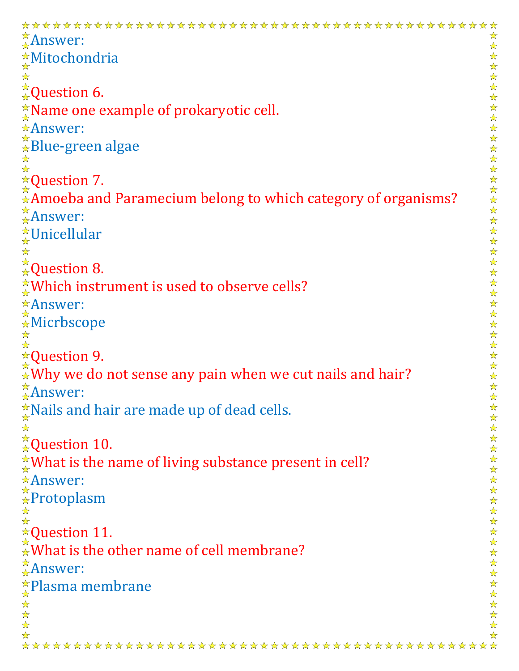```
\frac{\triangle}{\triangle}Answer:
                                                                                                             ☆
                                                                                                             \frac{1}{\mathcal{N}}2个好!
Mitochondria
                                                                                                             ☆☆☆☆☆☆☆☆☆☆☆☆☆☆☆☆☆☆☆☆☆☆☆☆☆☆☆☆☆☆☆☆☆
\frac{1}{\sqrt{2}}*_{\mathbf{\star}}Question 6.
\frac{1}{\alpha}Name one example of prokaryotic cell.
Answer:
<del>☆</del><br>Blue-green algae
☆
\frac{1}{\sqrt{2}}\sqrt{\lambda}Question 7.
Amoeba and Paramecium belong to which category of organisms?
\frac{d}{dx}Answer:
<u></u>☆Unicellular
☆
\stackrel{\star}{\underset{\star}{\star}}Question 8.
\frac{1}{\alpha}Which instrument is used to observe cells?
Answer:
\overset{\star}{\underset{\boldsymbol{\star}}{\star}}Micrbscope
\frac{1}{\sqrt{2}}<del>☆</del>Question 9.
\mathbb{\mathbb{R}}Why we do not sense any pain when we cut nails and hair?
\frac{1}{4}Answer:
                                                                                                             2222
\frac{1}{x} Nails and hair are made up of dead cells.
☆
                                                                                                             ☆☆☆☆☆☆☆☆☆☆☆
\frac{1}{2}\frac{\pi}{4}Question 10.
\frac{1}{\alpha}What is the name of living substance present in cell?
Answer:
\hat{P}Protoplasm
☆
\frac{1}{\sqrt{2}}☆Question 11.
                                                                                                             ☆☆☆☆☆☆☆☆☆☆
\stackrel{\star}{\star}What is the other name of cell membrane?
\frac{\triangle}{\triangle}Answer:
<u><del></del>★Plasma membrane</u>
\frac{1}{2}\frac{1}{\lambda}\frac{\lambda}{\lambda}☆
```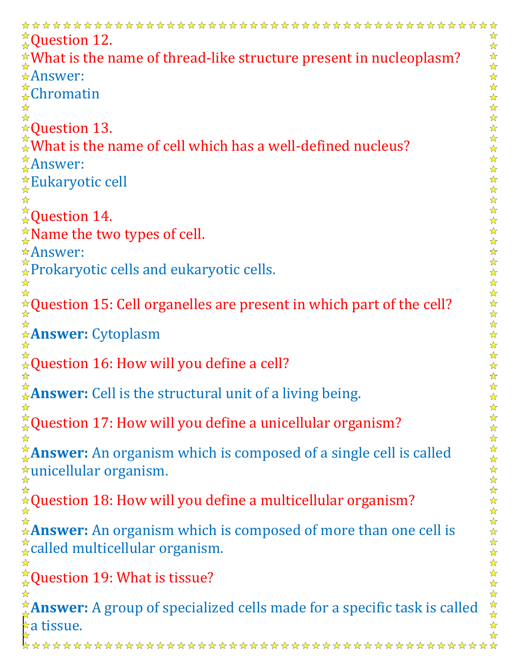$\frac{1}{\alpha}$ Question 12. ☆  $\frac{\lambda}{\lambda}$ 24 24 2  $\mathcal{N}$ What is the name of thread-like structure present in nucleoplasm? Answer: ☆☆☆☆☆☆☆☆☆☆☆☆☆☆☆  $\frac{1}{2}$ Chromatin ☆  $\frac{1}{\sqrt{2}}$ **★Question 13.**  $\mathbb{R}^N$  What is the name of cell which has a well-defined nucleus?  $\frac{1}{2}$ Answer: Eukaryotic cell  $\frac{1}{2}$ 计字符号  $\stackrel{\star}{\star}$ Question 14.  $\frac{\triangle}{\triangle}$ Name the two types of cell. ☆☆☆☆☆☆☆☆ Answer: <del>☆</del>Prokaryotic cells and eukaryotic cells. ☆ ☆  $\triangle$ Question 15: Cell organelles are present in which part of the cell?  $\frac{1}{\mathbf{k}^2}$ ☆ 计公众 **Answer:** Cytoplasm  $\frac{1}{\mathbf{k}}$ ☆ 24 ☆  $\hat{A}$ Question 16: How will you define a cell?  $\frac{1}{\sqrt{2}}$ ☆ 5岁以: **Answer:** Cell is the structural unit of a living being. 琴琴琴 ☆  $\frac{1}{24}$ Question 17: How will you define a unicellular organism? 琴琴琴 **Answer:** An organism which is composed of a single cell is called 琴琴琴 unicellular organism.  $\frac{1}{\mathbf{k}^{\prime}}$ ☆  $\sqrt{\alpha}$ Question 18: How will you define a multicellular organism?  $\frac{1}{\mathbf{k}}$ \*\*\*\*\* ☆ **Answer:** An organism which is composed of more than one cell is  $\frac{1}{\mathcal{N}}$  $\frac{A}{A}$ called multicellular organism. ☆☆☆☆☆☆☆☆ ☆ Question 19: What is tissue? ☆ **Answer:** A group of specialized cells made for a specific task is called  $\star$ a tissue.  $\frac{1}{\sqrt{2}}$